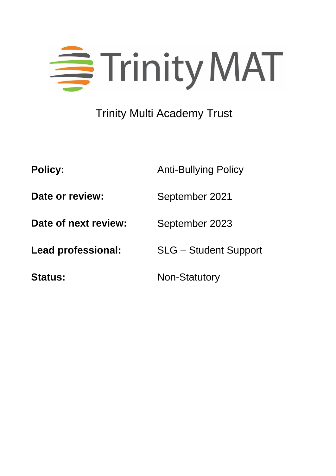

# Trinity Multi Academy Trust

**Policy:** Anti-Bullying Policy

**Date or review:** September 2021

**Date of next review:** September 2023

**Lead professional:** SLG – Student Support

Status: Non-Statutory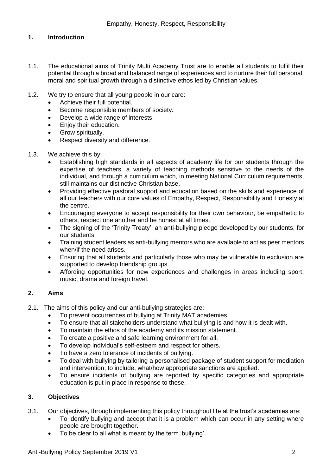## **1. Introduction**

- 1.1. The educational aims of Trinity Multi Academy Trust are to enable all students to fulfil their potential through a broad and balanced range of experiences and to nurture their full personal, moral and spiritual growth through a distinctive ethos led by Christian values.
- 1.2. We try to ensure that all young people in our care:
	- Achieve their full potential.
	- **Become responsible members of society.**
	- Develop a wide range of interests.
	- **Enjoy their education.**
	- Grow spiritually.
	- Respect diversity and difference.
- 1.3. We achieve this by:
	- Establishing high standards in all aspects of academy life for our students through the expertise of teachers, a variety of teaching methods sensitive to the needs of the individual, and through a curriculum which, in meeting National Curriculum requirements, still maintains our distinctive Christian base.
	- Providing effective pastoral support and education based on the skills and experience of all our teachers with our core values of Empathy, Respect, Responsibility and Honesty at the centre.
	- Encouraging everyone to accept responsibility for their own behaviour, be empathetic to others, respect one another and be honest at all times.
	- The signing of the 'Trinity Treaty', an anti-bullying pledge developed by our students; for our students.
	- Training student leaders as anti-bullying mentors who are available to act as peer mentors when/if the need arises.
	- Ensuring that all students and particularly those who may be vulnerable to exclusion are supported to develop friendship groups.
	- Affording opportunities for new experiences and challenges in areas including sport, music, drama and foreign travel.

# **2. Aims**

- 2.1. The aims of this policy and our anti-bullying strategies are:
	- To prevent occurrences of bullying at Trinity MAT academies.
	- To ensure that all stakeholders understand what bullying is and how it is dealt with.
	- To maintain the ethos of the academy and its mission statement.
	- To create a positive and safe learning environment for all.
	- To develop individual's self-esteem and respect for others.
	- To have a zero tolerance of incidents of bullying.
	- To deal with bullying by tailoring a personalised package of student support for mediation and intervention; to include, what/how appropriate sanctions are applied.
	- To ensure incidents of bullying are reported by specific categories and appropriate education is put in place in response to these.

# **3. Objectives**

- 3.1. Our objectives, through implementing this policy throughout life at the trust's academies are:
	- To identify bullying and accept that it is a problem which can occur in any setting where people are brought together.
	- To be clear to all what is meant by the term 'bullying'.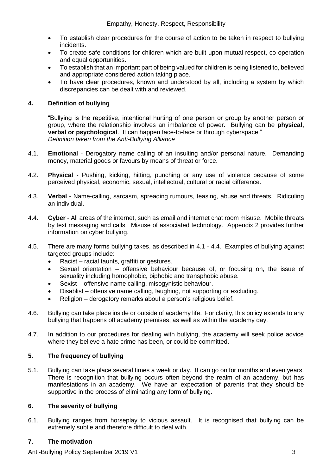- To establish clear procedures for the course of action to be taken in respect to bullying incidents.
- To create safe conditions for children which are built upon mutual respect, co-operation and equal opportunities.
- To establish that an important part of being valued for children is being listened to, believed and appropriate considered action taking place.
- To have clear procedures, known and understood by all, including a system by which discrepancies can be dealt with and reviewed.

## **4. Definition of bullying**

"Bullying is the repetitive, intentional hurting of one person or group by another person or group, where the relationship involves an imbalance of power. Bullying can be **physical, verbal or psychological**. It can happen face-to-face or through cyberspace." *Definition taken from the Anti-Bullying Alliance* 

- 4.1. **Emotional** Derogatory name calling of an insulting and/or personal nature. Demanding money, material goods or favours by means of threat or force.
- 4.2. **Physical**  Pushing, kicking, hitting, punching or any use of violence because of some perceived physical, economic, sexual, intellectual, cultural or racial difference.
- 4.3. **Verbal** Name-calling, sarcasm, spreading rumours, teasing, abuse and threats. Ridiculing an individual.
- 4.4. **Cyber** All areas of the internet, such as email and internet chat room misuse. Mobile threats by text messaging and calls. Misuse of associated technology. Appendix 2 provides further information on cyber bullying.
- 4.5. There are many forms bullying takes, as described in 4.1 4.4. Examples of bullying against targeted groups include:
	- Racist racial taunts, graffiti or gestures.
	- Sexual orientation offensive behaviour because of, or focusing on, the issue of sexuality including homophobic, biphobic and transphobic abuse.
	- Sexist offensive name calling, misogynistic behaviour.
	- Disablist offensive name calling, laughing, not supporting or excluding.
	- Religion derogatory remarks about a person's religious belief.
- 4.6. Bullying can take place inside or outside of academy life. For clarity, this policy extends to any bullying that happens off academy premises, as well as within the academy day.
- 4.7. In addition to our procedures for dealing with bullying, the academy will seek police advice where they believe a hate crime has been, or could be committed.

# **5. The frequency of bullying**

5.1. Bullying can take place several times a week or day. It can go on for months and even years. There is recognition that bullying occurs often beyond the realm of an academy, but has manifestations in an academy. We have an expectation of parents that they should be supportive in the process of eliminating any form of bullying.

## **6. The severity of bullying**

6.1. Bullying ranges from horseplay to vicious assault. It is recognised that bullying can be extremely subtle and therefore difficult to deal with.

## **7. The motivation**

Anti-Bullying Policy September 2019 V1 3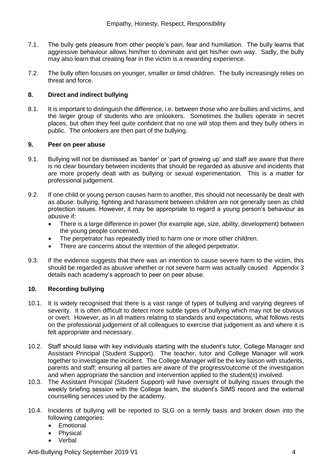- 7.1. The bully gets pleasure from other people's pain, fear and humiliation. The bully learns that aggressive behaviour allows him/her to dominate and get his/her own way. Sadly, the bully may also learn that creating fear in the victim is a rewarding experience.
- 7.2. The bully often focuses on younger, smaller or timid children. The bully increasingly relies on threat and force.

## **8. Direct and indirect bullying**

8.1. It is important to distinguish the difference, i.e. between those who are bullies and victims, and the larger group of students who are onlookers. Sometimes the bullies operate in secret places, but often they feel quite confident that no one will stop them and they bully others in public. The onlookers are then part of the bullying.

#### **9. Peer on peer abuse**

- 9.1. Bullying will not be dismissed as 'banter' or 'part of growing up' and staff are aware that there is no clear boundary between incidents that should be regarded as abusive and incidents that are more properly dealt with as bullying or sexual experimentation. This is a matter for professional judgement.
- 9.2. If one child or young person causes harm to another, this should not necessarily be dealt with as abuse: bullying, fighting and harassment between children are not generally seen as child protection issues. However, it may be appropriate to regard a young person's behaviour as abusive if:
	- There is a large difference in power (for example age, size, ability, development) between the young people concerned.
	- The perpetrator has repeatedly tried to harm one or more other children.
	- There are concerns about the intention of the alleged perpetrator.
- 9.3. If the evidence suggests that there was an intention to cause severe harm to the victim, this should be regarded as abusive whether or not severe harm was actually caused.Appendix 3 details each academy's approach to peer on peer abuse.

## **10. Recording bullying**

- 10.1. It is widely recognised that there is a vast range of types of bullying and varying degrees of severity. It is often difficult to detect more subtle types of bullying which may not be obvious or overt. However, as in all matters relating to standards and expectations, what follows rests on the professional judgement of all colleagues to exercise that judgement as and where it is felt appropriate and necessary.
- 10.2. Staff should liaise with key individuals starting with the student's tutor, College Manager and Assistant Principal (Student Support). The teacher, tutor and College Manager will work together to investigate the incident. The College Manager will be the key liaison with students, parents and staff; ensuring all parties are aware of the progress/outcome of the investigation and when appropriate the sanction and intervention applied to the student(s) involved.
- 10.3. The Assistant Principal (Student Support) will have oversight of bullying issues through the weekly briefing session with the College team, the student's SIMS record and the external counselling services used by the academy.
- 10.4. Incidents of bullying will be reported to SLG on a termly basis and broken down into the following categories:
	- Emotional
	- Physical
	- Verbal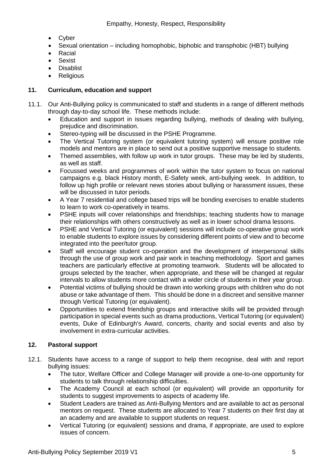- Cyber
- Sexual orientation including homophobic, biphobic and transphobic (HBT) bullying
- Racial
- Sexist
- Disablist
- **Religious**

## **11. Curriculum, education and support**

- 11.1. Our Anti-Bullying policy is communicated to staff and students in a range of different methods through day-to-day school life. These methods include:
	- Education and support in issues regarding bullying, methods of dealing with bullying, prejudice and discrimination.
	- Stereo-typing will be discussed in the PSHE Programme.
	- The Vertical Tutoring system (or equivalent tutoring system) will ensure positive role models and mentors are in place to send out a positive supportive message to students.
	- Themed assemblies, with follow up work in tutor groups. These may be led by students, as well as staff.
	- Focussed weeks and programmes of work within the tutor system to focus on national campaigns e.g. black History month, E-Safety week, anti-bullying week. In addition, to follow up high profile or relevant news stories about bullying or harassment issues, these will be discussed in tutor periods.
	- A Year 7 residential and college based trips will be bonding exercises to enable students to learn to work co-operatively in teams.
	- PSHE inputs will cover relationships and friendships; teaching students how to manage their relationships with others constructively as well as in lower school drama lessons.
	- PSHE and Vertical Tutoring (or equivalent) sessions will include co-operative group work to enable students to explore issues by considering different points of view and to become integrated into the peer/tutor group.
	- Staff will encourage student co-operation and the development of interpersonal skills through the use of group work and pair work in teaching methodology. Sport and games teachers are particularly effective at promoting teamwork. Students will be allocated to groups selected by the teacher, when appropriate, and these will be changed at regular intervals to allow students more contact with a wider circle of students in their year group.
	- Potential victims of bullying should be drawn into working groups with children who do not abuse or take advantage of them. This should be done in a discreet and sensitive manner through Vertical Tutoring (or equivalent).
	- Opportunities to extend friendship groups and interactive skills will be provided through participation in special events such as drama productions, Vertical Tutoring (or equivalent) events, Duke of Edinburgh's Award, concerts, charity and social events and also by involvement in extra-curricular activities.

# **12. Pastoral support**

- 12.1. Students have access to a range of support to help them recognise, deal with and report bullying issues:
	- The tutor, Welfare Officer and College Manager will provide a one-to-one opportunity for students to talk through relationship difficulties.
	- The Academy Council at each school (or equivalent) will provide an opportunity for students to suggest improvements to aspects of academy life.
	- Student Leaders are trained as Anti-Bullying Mentors and are available to act as personal mentors on request. These students are allocated to Year 7 students on their first day at an academy and are available to support students on request.
	- Vertical Tutoring (or equivalent) sessions and drama, if appropriate, are used to explore issues of concern.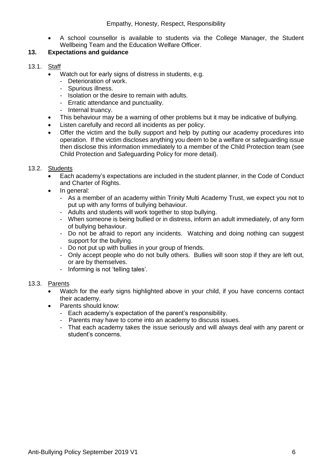A school counsellor is available to students via the College Manager, the Student Wellbeing Team and the Education Welfare Officer.

# **13. Expectations and guidance**

- 13.1. Staff
	- Watch out for early signs of distress in students, e.g.
		- Deterioration of work.
		- Spurious illness.
		- Isolation or the desire to remain with adults.
		- Erratic attendance and punctuality.
		- Internal truancy.
	- This behaviour may be a warning of other problems but it may be indicative of bullying.
	- Listen carefully and record all incidents as per policy.
	- Offer the victim and the bully support and help by putting our academy procedures into operation. If the victim discloses anything you deem to be a welfare or safeguarding issue then disclose this information immediately to a member of the Child Protection team (see Child Protection and Safeguarding Policy for more detail).

## 13.2. Students

- Each academy's expectations are included in the student planner, in the Code of Conduct and Charter of Rights.
- In general:
	- As a member of an academy within Trinity Multi Academy Trust, we expect you not to put up with any forms of bullying behaviour.
	- Adults and students will work together to stop bullying.
	- When someone is being bullied or in distress, inform an adult immediately, of any form of bullying behaviour.
	- Do not be afraid to report any incidents. Watching and doing nothing can suggest support for the bullying.
	- Do not put up with bullies in your group of friends.
	- Only accept people who do not bully others. Bullies will soon stop if they are left out, or are by themselves.
	- Informing is not 'telling tales'.

## 13.3. Parents

- Watch for the early signs highlighted above in your child, if you have concerns contact their academy.
- Parents should know:
	- Each academy's expectation of the parent's responsibility.
	- Parents may have to come into an academy to discuss issues.
	- That each academy takes the issue seriously and will always deal with any parent or student's concerns.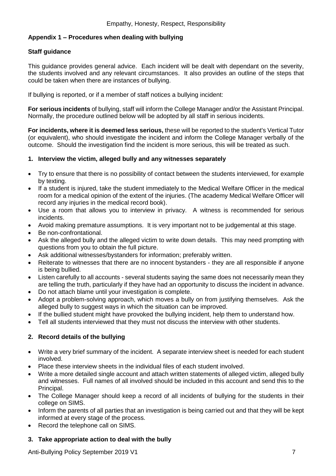# **Appendix 1 – Procedures when dealing with bullying**

# **Staff guidance**

This guidance provides general advice. Each incident will be dealt with dependant on the severity, the students involved and any relevant circumstances. It also provides an outline of the steps that could be taken when there are instances of bullying.

If bullying is reported, or if a member of staff notices a bullying incident:

**For serious incidents** of bullying, staff will inform the College Manager and/or the Assistant Principal. Normally, the procedure outlined below will be adopted by all staff in serious incidents.

**For incidents, where it is deemed less serious,** these will be reported to the student's Vertical Tutor (or equivalent), who should investigate the incident and inform the College Manager verbally of the outcome. Should the investigation find the incident is more serious, this will be treated as such.

## **1. Interview the victim, alleged bully and any witnesses separately**

- Try to ensure that there is no possibility of contact between the students interviewed, for example by texting.
- If a student is injured, take the student immediately to the Medical Welfare Officer in the medical room for a medical opinion of the extent of the injuries. (The academy Medical Welfare Officer will record any injuries in the medical record book).
- Use a room that allows you to interview in privacy. A witness is recommended for serious incidents.
- Avoid making premature assumptions. It is very important not to be judgemental at this stage.
- Be non-confrontational.
- Ask the alleged bully and the alleged victim to write down details. This may need prompting with questions from you to obtain the full picture.
- Ask additional witnesses/bystanders for information; preferably written.
- Reiterate to witnesses that there are no innocent bystanders they are all responsible if anyone is being bullied.
- Listen carefully to all accounts several students saying the same does not necessarily mean they are telling the truth, particularly if they have had an opportunity to discuss the incident in advance.
- Do not attach blame until your investigation is complete.
- Adopt a problem-solving approach, which moves a bully on from justifying themselves. Ask the alleged bully to suggest ways in which the situation can be improved.
- If the bullied student might have provoked the bullying incident, help them to understand how.
- Tell all students interviewed that they must not discuss the interview with other students.

# **2. Record details of the bullying**

- Write a very brief summary of the incident. A separate interview sheet is needed for each student involved.
- Place these interview sheets in the individual files of each student involved.
- Write a more detailed single account and attach written statements of alleged victim, alleged bully and witnesses. Full names of all involved should be included in this account and send this to the Principal.
- The College Manager should keep a record of all incidents of bullying for the students in their college on SIMS.
- Inform the parents of all parties that an investigation is being carried out and that they will be kept informed at every stage of the process.
- Record the telephone call on SIMS.

# **3. Take appropriate action to deal with the bully**

Anti-Bullying Policy September 2019 V1 7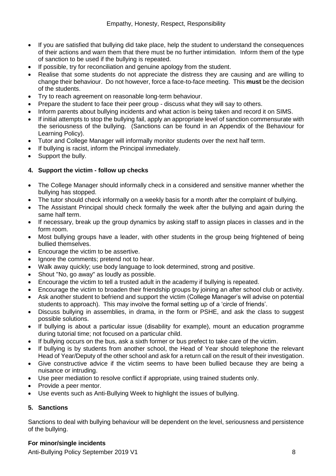- If you are satisfied that bullying did take place, help the student to understand the consequences of their actions and warn them that there must be no further intimidation. Inform them of the type of sanction to be used if the bullying is repeated.
- If possible, try for reconciliation and genuine apology from the student.
- Realise that some students do not appreciate the distress they are causing and are willing to change their behaviour. Do not however, force a face-to-face meeting. This **must** be the decision of the students.
- Try to reach agreement on reasonable long-term behaviour.
- Prepare the student to face their peer group discuss what they will say to others.
- Inform parents about bullying incidents and what action is being taken and record it on SIMS.
- If initial attempts to stop the bullying fail, apply an appropriate level of sanction commensurate with the seriousness of the bullying. (Sanctions can be found in an Appendix of the Behaviour for Learning Policy).
- Tutor and College Manager will informally monitor students over the next half term.
- If bullying is racist, inform the Principal immediately.
- Support the bully.

# **4. Support the victim - follow up checks**

- The College Manager should informally check in a considered and sensitive manner whether the bullying has stopped.
- The tutor should check informally on a weekly basis for a month after the complaint of bullying.
- The Assistant Principal should check formally the week after the bullying and again during the same half term.
- If necessary, break up the group dynamics by asking staff to assign places in classes and in the form room.
- Most bullying groups have a leader, with other students in the group being frightened of being bullied themselves.
- Encourage the victim to be assertive.
- Ignore the comments; pretend not to hear.
- Walk away quickly; use body language to look determined, strong and positive.
- Shout "No, go away" as loudly as possible.
- Encourage the victim to tell a trusted adult in the academy if bullying is repeated.
- Encourage the victim to broaden their friendship groups by joining an after school club or activity.
- Ask another student to befriend and support the victim (College Manager's will advise on potential students to approach). This may involve the formal setting up of a 'circle of friends'.
- Discuss bullying in assemblies, in drama, in the form or PSHE, and ask the class to suggest possible solutions.
- If bullying is about a particular issue (disability for example), mount an education programme during tutorial time; not focused on a particular child.
- If bullying occurs on the bus, ask a sixth former or bus prefect to take care of the victim.
- If bullying is by students from another school, the Head of Year should telephone the relevant Head of Year/Deputy of the other school and ask for a return call on the result of their investigation.
- Give constructive advice if the victim seems to have been bullied because they are being a nuisance or intruding.
- Use peer mediation to resolve conflict if appropriate, using trained students only.
- Provide a peer mentor.
- Use events such as Anti-Bullying Week to highlight the issues of bullying.

# **5. Sanctions**

Sanctions to deal with bullying behaviour will be dependent on the level, seriousness and persistence of the bullying.

# **For minor/single incidents**

Anti-Bullying Policy September 2019 V1 8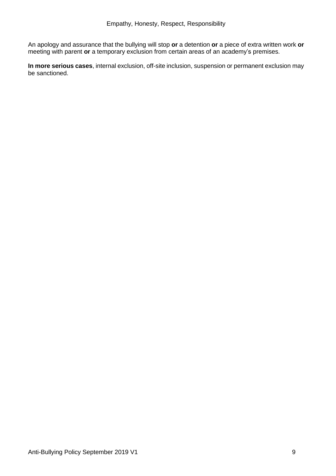An apology and assurance that the bullying will stop **or** a detention **or** a piece of extra written work **or** meeting with parent **or** a temporary exclusion from certain areas of an academy's premises.

**In more serious cases**, internal exclusion, off-site inclusion, suspension or permanent exclusion may be sanctioned.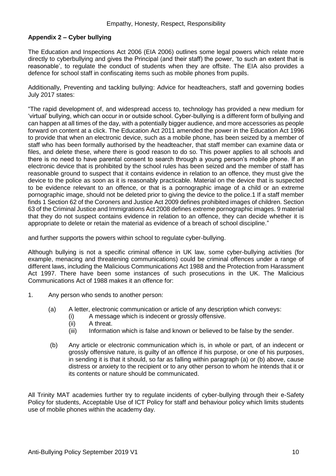## **Appendix 2 – Cyber bullying**

The Education and Inspections Act 2006 (EIA 2006) outlines some legal powers which relate more directly to cyberbullying and gives the Principal (and their staff) the power, 'to such an extent that is reasonable', to regulate the conduct of students when they are offsite. The EIA also provides a defence for school staff in confiscating items such as mobile phones from pupils.

Additionally, Preventing and tackling bullying: Advice for headteachers, staff and governing bodies July 2017 states:

"The rapid development of, and widespread access to, technology has provided a new medium for 'virtual' bullying, which can occur in or outside school. Cyber-bullying is a different form of bullying and can happen at all times of the day, with a potentially bigger audience, and more accessories as people forward on content at a click. The Education Act 2011 amended the power in the Education Act 1996 to provide that when an electronic device, such as a mobile phone, has been seized by a member of staff who has been formally authorised by the headteacher, that staff member can examine data or files, and delete these, where there is good reason to do so. This power applies to all schools and there is no need to have parental consent to search through a young person's mobile phone. If an electronic device that is prohibited by the school rules has been seized and the member of staff has reasonable ground to suspect that it contains evidence in relation to an offence, they must give the device to the police as soon as it is reasonably practicable. Material on the device that is suspected to be evidence relevant to an offence, or that is a pornographic image of a child or an extreme pornographic image, should not be deleted prior to giving the device to the police.1 If a staff member finds 1 Section 62 of the Coroners and Justice Act 2009 defines prohibited images of children. Section 63 of the Criminal Justice and Immigrations Act 2008 defines extreme pornographic images. 9 material that they do not suspect contains evidence in relation to an offence, they can decide whether it is appropriate to delete or retain the material as evidence of a breach of school discipline."

and further supports the powers within school to regulate cyber-bullying.

Although bullying is not a specific criminal offence in UK law, some cyber-bullying activities (for example, menacing and threatening communications) could be criminal offences under a range of different laws, including the Malicious Communications Act 1988 and the Protection from Harassment Act 1997. There have been some instances of such prosecutions in the UK. The Malicious Communications Act of 1988 makes it an offence for:

- 1. Any person who sends to another person:
	- (a) A letter, electronic communication or article of any description which conveys:
		- (i) A message which is indecent or grossly offensive.
		- (ii) A threat.
		- $(iii)$  Information which is false and known or believed to be false by the sender.
	- (b) Any article or electronic communication which is, in whole or part, of an indecent or grossly offensive nature, is guilty of an offence if his purpose, or one of his purposes, in sending it is that it should, so far as falling within paragraph (a) or (b) above, cause distress or anxiety to the recipient or to any other person to whom he intends that it or its contents or nature should be communicated.

All Trinity MAT academies further try to regulate incidents of cyber-bullying through their e-Safety Policy for students, Acceptable Use of ICT Policy for staff and behaviour policy which limits students use of mobile phones within the academy day.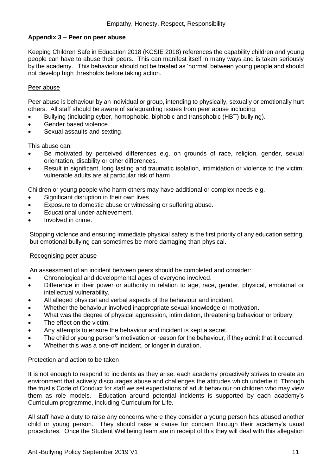## **Appendix 3 – Peer on peer abuse**

Keeping Children Safe in Education 2018 (KCSIE 2018) references the capability children and young people can have to abuse their peers. This can manifest itself in many ways and is taken seriously by the academy. This behaviour should not be treated as 'normal' between young people and should not develop high thresholds before taking action.

## Peer abuse

Peer abuse is behaviour by an individual or group, intending to physically, sexually or emotionally hurt others. All staff should be aware of safeguarding issues from peer abuse including:

- Bullying (including cyber, homophobic, biphobic and transphobic (HBT) bullying).
- Gender based violence.
- Sexual assaults and sexting.

This abuse can:

- Be motivated by perceived differences e.g. on grounds of race, religion, gender, sexual orientation, disability or other differences.
- Result in significant, long lasting and traumatic isolation, intimidation or violence to the victim; vulnerable adults are at particular risk of harm

Children or young people who harm others may have additional or complex needs e.g.

- Significant disruption in their own lives.
- Exposure to domestic abuse or witnessing or suffering abuse.
- Educational under-achievement.
- Involved in crime.

Stopping violence and ensuring immediate physical safety is the first priority of any education setting, but emotional bullying can sometimes be more damaging than physical.

## Recognising peer abuse

An assessment of an incident between peers should be completed and consider:

- Chronological and developmental ages of everyone involved.
- Difference in their power or authority in relation to age, race, gender, physical, emotional or intellectual vulnerability.
- All alleged physical and verbal aspects of the behaviour and incident.
- Whether the behaviour involved inappropriate sexual knowledge or motivation.
- What was the degree of physical aggression, intimidation, threatening behaviour or bribery.
- The effect on the victim.
- Any attempts to ensure the behaviour and incident is kept a secret.
- The child or young person's motivation or reason for the behaviour, if they admit that it occurred.
- Whether this was a one-off incident, or longer in duration.

## Protection and action to be taken

It is not enough to respond to incidents as they arise: each academy proactively strives to create an environment that actively discourages abuse and challenges the attitudes which underlie it. Through the trust's Code of Conduct for staff we set expectations of adult behaviour on children who may view them as role models. Education around potential incidents is supported by each academy's Curriculum programme, including Curriculum for Life.

All staff have a duty to raise any concerns where they consider a young person has abused another child or young person. They should raise a cause for concern through their academy's usual procedures. Once the Student Wellbeing team are in receipt of this they will deal with this allegation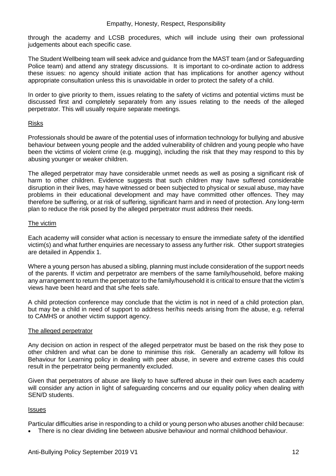through the academy and LCSB procedures, which will include using their own professional judgements about each specific case.

The Student Wellbeing team will seek advice and guidance from the MAST team (and or Safeguarding Police team) and attend any strategy discussions. It is important to co-ordinate action to address these issues: no agency should initiate action that has implications for another agency without appropriate consultation unless this is unavoidable in order to protect the safety of a child.

In order to give priority to them, issues relating to the safety of victims and potential victims must be discussed first and completely separately from any issues relating to the needs of the alleged perpetrator. This will usually require separate meetings.

#### Risks

Professionals should be aware of the potential uses of information technology for bullying and abusive behaviour between young people and the added vulnerability of children and young people who have been the victims of violent crime (e.g. mugging), including the risk that they may respond to this by abusing younger or weaker children.

The alleged perpetrator may have considerable unmet needs as well as posing a significant risk of harm to other children. Evidence suggests that such children may have suffered considerable disruption in their lives, may have witnessed or been subjected to physical or [sexual abuse,](http://trixresources.proceduresonline.com/nat_key/keywords/sexual_abuse.html) may have problems in their educational development and may have committed other offences. They may therefore be suffering, or at risk of suffering, significant harm and in need of protection. Any long-term plan to reduce the risk posed by the alleged perpetrator must address their needs.

#### The victim

Each academy will consider what action is necessary to ensure the immediate safety of the identified victim(s) and what further enquiries are necessary to assess any further risk. Other support strategies are detailed in Appendix 1.

Where a young person has abused a sibling, planning must include consideration of the support needs of the parents. If victim and perpetrator are members of the same family/household, before making any arrangement to return the perpetrator to the family/household it is critical to ensure that the victim's views have been heard and that s/he feels safe.

A child protection conference may conclude that the victim is not in need of a child protection plan, but may be a child in need of support to address her/his needs arising from the abuse, e.g. referral to [CAMHS](http://trixresources.proceduresonline.com/nat_key/keywords/camhs.html) or another victim support agency.

## The alleged perpetrator

Any decision on action in respect of the alleged perpetrator must be based on the risk they pose to other children and what can be done to minimise this risk. Generally an academy will follow its Behaviour for Learning policy in dealing with peer abuse, in severe and extreme cases this could result in the perpetrator being permanently excluded.

Given that perpetrators of abuse are likely to have suffered abuse in their own lives each academy will consider any action in light of safeguarding concerns and our equality policy when dealing with SEN/D students.

## Issues

Particular difficulties arise in responding to a child or young person who abuses another child because:

There is no clear dividing line between abusive behaviour and normal childhood behaviour.